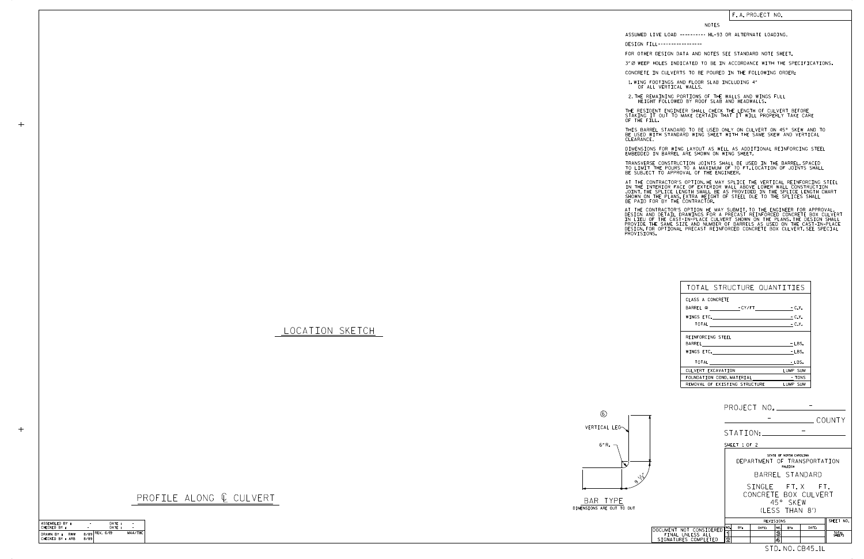LOCATION SKETCH

## NOTES

DESIGN FILL-----------------

FOR OTHER DESIGN DATA AND NOTES SEE STANDARD NOTE SHEET.

3" Ø WEEP HOLES INDICATED TO BE IN ACCORDANCE WITH THE SPECIFICATIONS.

CONCRETE IN CULVERTS TO BE POURED IN THE FOLLOWING ORDER:

1.WING FOOTINGS AND FLOOR SLAB INCLUDING 4"<br>OF ALL VERTICAL WALLS.

2.THE REMAINING PORTIONS OF THE WALLS AND WINGS FULL<br>HEIGHT FOLLOWED BY ROOF SLAB AND HEADWALLS.

THE RESIDENT ENGINEER SHALL CHECK THE LENGTH OF CULVERT BEFORE<br>STAKING IT OUT TO MAKE CERTAIN THAT IT WILL PROPERLY TAKE CARE<br>OF THE FILL.

BE USED WITH STANDARD WING SHEET WITH THE SAME SKEW AND VERTICAL CLEARANCE. THIS BARREL STANDARD TO BE USED ONLY ON CULVERT ON 45° SKEW AND TO

DIMENSIONS FOR WING LAYOUT AS WELL AS ADDITIONAL REINFORCING STEEL<br>EMBEDDED IN BARREL ARE SHOWN ON WING SHEET.

TRANSVERSE CONSTRUCTION JOINTS SHALL BE USED IN THE BARREL,SPACED<br>TO LIMIT THE POURS TO A MAXIMUM OF 70 FT.LOCATION OF JOINTS SHALL<br>BE SUBJECT TO APPROVAL OF THE ENGINEER.

IN THE INTERIOR FACE OF EXTERIOR WALL ABOVE LOWER WALL CONSTRUCTION<br>JOINT.THE SPLICE LENGTH SHALL BE AS PROVIDED IN THE SPLICE LENGTH CHART<br>SHOWN ON THE PLANS.EXTRA WEIGHT OF STEEL DUE TO THE SPLICES SHALL<br>BE PAID FOR BY T AT THE CONTRACTOR'S OPTION, HE MAY SPLICE THE VERTICAL REINFORCING STEEL

AT THE CONTRACTOR'S OPTION HE MAY SUBMIT, TO THE ENGINEER FOR APPROVAL,<br>DESIGN AND DETAIL DRAWINGS FOR A PRECAST REINFORCED CONCRETE BOX CULVERT<br>IN LIEU OF THE CAST-IN-PLACE CULVERT SHOWN ON THE PLANS.THE DESIGN SHALL<br>PROV

|                                                                     | COUNTY                                                                                           |  |  |  |
|---------------------------------------------------------------------|--------------------------------------------------------------------------------------------------|--|--|--|
|                                                                     | STATION:                                                                                         |  |  |  |
|                                                                     | SHEET 1 OF 2                                                                                     |  |  |  |
|                                                                     | STATE OF NORTH CAROLINA<br>DEPARTMENT OF TRANSPORTATION<br>RALEIGH                               |  |  |  |
| $\sqrt{\nu}$                                                        | BARREL STANDARD                                                                                  |  |  |  |
|                                                                     | SINGLE FT.X FT.<br>CONCRETE BOX CULVERT<br>45° SKEW<br>(LESS THAN 8')                            |  |  |  |
|                                                                     | SHEET NO.<br>REVISIONS                                                                           |  |  |  |
| DOCUMENT NOT CONSIDERED<br>FINAL UNLESS ALL<br>SIGNATURES COMPLETED | NO.<br>BY:<br>DATE:<br>DATE:<br>NO.<br>BY:<br>ิจ<br>3<br>TOTAL<br>SHEETS<br>$\overline{2}$<br>4, |  |  |  |
|                                                                     | STD. NO. CB45 <sub>-1L</sub>                                                                     |  |  |  |

DIMENSIONS ARE OUT TO OUT BAR TYPE

## PROFILE ALONG @ CULVERT



## F. A. PROJECT NO.

| TOTAL STRUCTURE QUANTITIES                                                                                     |          |
|----------------------------------------------------------------------------------------------------------------|----------|
| CLASS A CONCRETE                                                                                               |          |
| BARREL @ - CY/FT - C.Y.                                                                                        |          |
| WINGS ETC. $-C.Y.$                                                                                             |          |
| TOTAL $\qquad \qquad -C.Y.$                                                                                    |          |
| REINFORCING STEEL                                                                                              |          |
|                                                                                                                | $-LBS.$  |
| WINGS ETC. The contract of the contract of the contract of the contract of the contract of the contract of the | $-LBS.$  |
| TOTAL TOTAL                                                                                                    | - LBS.   |
| CULVERT EXCAVATION                                                                                             | LUMP SUM |
| FOUNDATION COND. MATERIAL TONS                                                                                 |          |
| REMOVAL OF EXISTING STRUCTURE                                                                                  | LUMP SUM |

ASSUMED LIVE LOAD ---------- HL-93 OR ALTERNATE LOADING.

| ASSEMBLED BY:                         | ۰    | DATE:            |         |
|---------------------------------------|------|------------------|---------|
| CHECKED BY:                           |      | DATF:            |         |
| DRAWN BY :<br>RWW<br>CHECKED BY : ARB | 8/89 | $8/89$ REV. 6/19 | MAA/THC |

 $+$